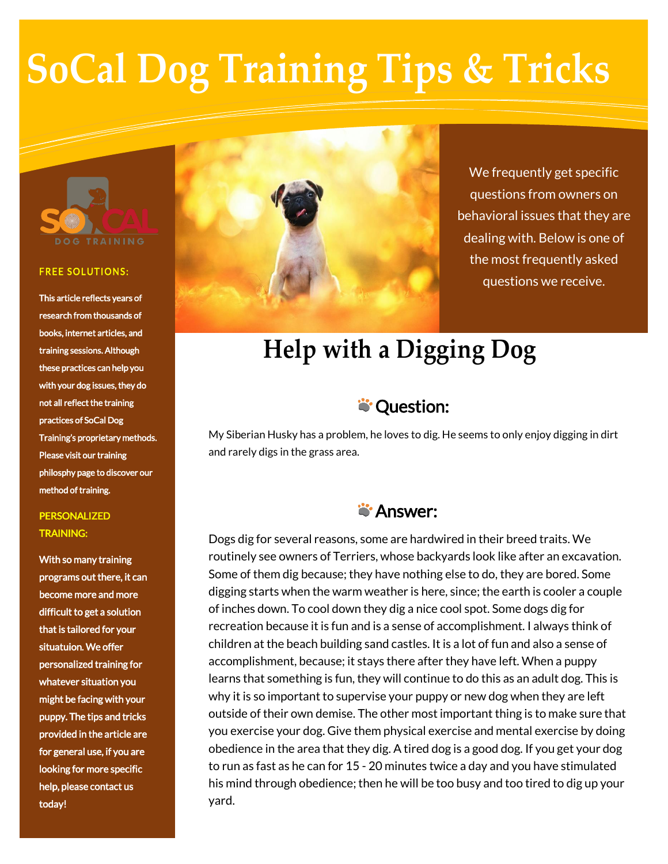# **SoCal Dog Training Tips & Tricks**



#### **FREE SOLUTIONS:**

This article reflects years of research from thousands of books, internet articles, and training sessions. Although these practices can help you with your dog issues, they do not all reflect the training practices of SoCal Dog Training's proprietary methods. Please visit our training philosphy page to discover our method of training.

### PERSONALIZED TRAINING:

With so many training programs out there, it can become more and more difficult to get a solution that is tailored for your situatuion. We offer personalized training for whatever situation you might be facing with your puppy. The tips and tricks provided in the article are for general use, if you are looking for more specific help, please contact us today!



We frequently get specific questions from owners on behavioral issues that they are dealing with. Below is one of the most frequently asked questions we receive.

# **Help with a Digging Dog**

## **S** Question:

My Siberian Husky has a problem, he loves to dig. He seems to only enjoy digging in dirt and rarely digs in the grass area.

## **S**' Answer:

Dogs dig for several reasons, some are hardwired in their breed traits. We routinely see owners of Terriers, whose backyards look like after an excavation. Some of them dig because; they have nothing else to do, they are bored. Some digging starts when the warm weather is here, since; the earth is cooler a couple of inches down. To cool down they dig a nice cool spot. Some dogs dig for recreation because it is fun and is a sense of accomplishment. I always think of children at the beach building sand castles. It is a lot of fun and also a sense of accomplishment, because; it stays there after they have left. When a puppy learns that something is fun, they will continue to do this as an adult dog. This is why it is so important to supervise your puppy or new dog when they are left outside of their own demise. The other most important thing is to make sure that you exercise your dog. Give them physical exercise and mental exercise by doing obedience in the area that they dig. A tired dog is a good dog. If you get your dog to run as fast as he can for 15 - 20 minutes twice a day and you have stimulated his mind through obedience; then he will be too busy and too tired to dig up your yard.